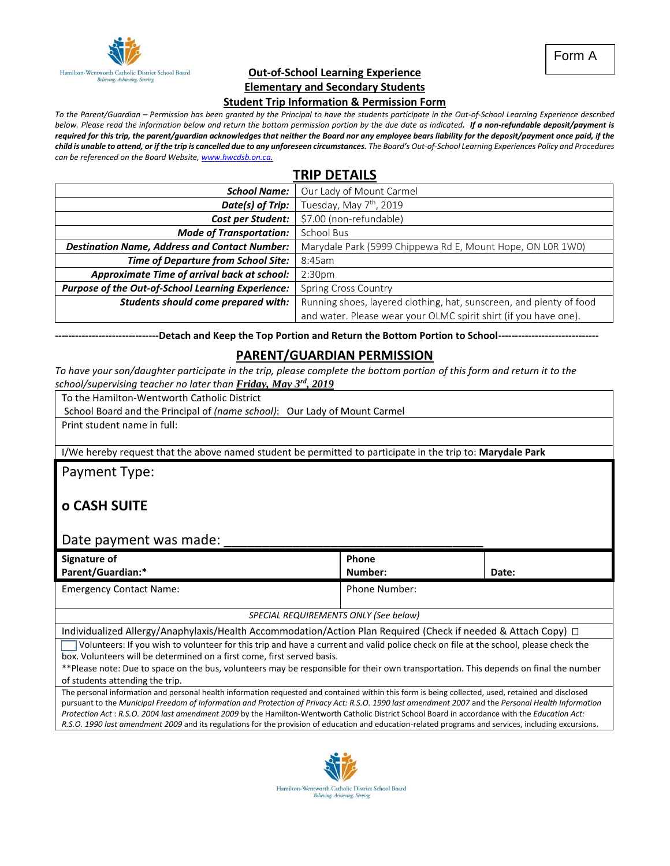

Form A

#### **Out-of-School Learning Experience Elementary and Secondary Students**

#### **Student Trip Information & Permission Form**

*To the Parent/Guardian – Permission has been granted by the Principal to have the students participate in the Out-of-School Learning Experience described below. Please read the information below and return the bottom permission portion by the due date as indicated. If a non-refundable deposit/payment is required for this trip, the parent/guardian acknowledges that neither the Board nor any employee bears liability for the deposit/payment once paid, if the child is unable to attend, or if the trip is cancelled due to any unforeseen circumstances. The Board's Out-of-School Learning Experiences Policy and Procedures can be referenced on the Board Website[, www.hwcdsb.on.ca.](http://www.hwcdsb.on.ca/)*

# **TRIP DETAILS**

| <b>School Name:</b>                                  | Our Lady of Mount Carmel                                            |  |
|------------------------------------------------------|---------------------------------------------------------------------|--|
| Date(s) of Trip:                                     | Tuesday, May 7 <sup>th</sup> , 2019                                 |  |
| <b>Cost per Student:</b>                             | \$7.00 (non-refundable)                                             |  |
| <b>Mode of Transportation:</b>                       | School Bus                                                          |  |
| <b>Destination Name, Address and Contact Number:</b> | Marydale Park (5999 Chippewa Rd E, Mount Hope, ON LOR 1WO)          |  |
| <b>Time of Departure from School Site:</b>           | 8:45am                                                              |  |
| Approximate Time of arrival back at school:          | 2:30 <sub>pm</sub>                                                  |  |
| Purpose of the Out-of-School Learning Experience:    | <b>Spring Cross Country</b>                                         |  |
| Students should come prepared with:                  | Running shoes, layered clothing, hat, sunscreen, and plenty of food |  |
|                                                      | and water. Please wear your OLMC spirit shirt (if you have one).    |  |

**-------------------------------Detach and Keep the Top Portion and Return the Bottom Portion to School------------------------------**

#### **PARENT/GUARDIAN PERMISSION**

*To have your son/daughter participate in the trip, please complete the bottom portion of this form and return it to the school/supervising teacher no later than Friday, May 3rd , 2019*

To the Hamilton-Wentworth Catholic District

School Board and the Principal of *(name school)*: Our Lady of Mount Carmel

Print student name in full:

I/We hereby request that the above named student be permitted to participate in the trip to: **Marydale Park**

Payment Type:

## **o CASH SUITE**

#### Date payment was made:  $\Box$

| Signature of<br><b>Parent/Guardian:*</b> | Phone<br>Number: | Date: |
|------------------------------------------|------------------|-------|
| <b>Emergency Contact Name:</b>           | Phone Number:    |       |

#### *SPECIAL REQUIREMENTS ONLY (See below)*

Individualized Allergy/Anaphylaxis/Health Accommodation/Action Plan Required (Check if needed & Attach Copy)

 Volunteers: If you wish to volunteer for this trip and have a current and valid police check on file at the school, please check the box. Volunteers will be determined on a first come, first served basis.

\*\*Please note: Due to space on the bus, volunteers may be responsible for their own transportation. This depends on final the number of students attending the trip.

The personal information and personal health information requested and contained within this form is being collected, used, retained and disclosed pursuant to the *Municipal Freedom of Information and Protection of Privacy Act: R.S.O. 1990 last amendment 2007* and the *Personal Health Information Protection Act* : *R.S.O. 2004 last amendment 2009* by the Hamilton-Wentworth Catholic District School Board in accordance with the *Education Act: R.S.O. 1990 last amendment 2009* and its regulations for the provision of education and education-related programs and services, including excursions.